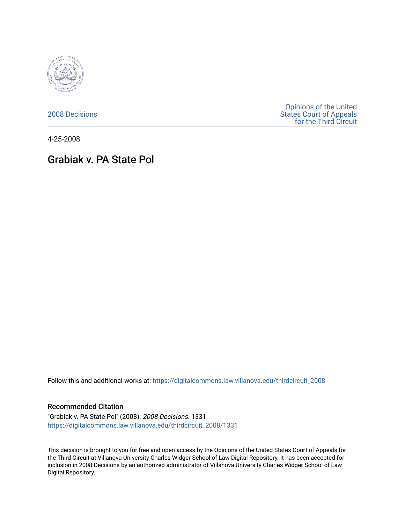

[2008 Decisions](https://digitalcommons.law.villanova.edu/thirdcircuit_2008)

[Opinions of the United](https://digitalcommons.law.villanova.edu/thirdcircuit)  [States Court of Appeals](https://digitalcommons.law.villanova.edu/thirdcircuit)  [for the Third Circuit](https://digitalcommons.law.villanova.edu/thirdcircuit) 

4-25-2008

# Grabiak v. PA State Pol

Follow this and additional works at: [https://digitalcommons.law.villanova.edu/thirdcircuit\\_2008](https://digitalcommons.law.villanova.edu/thirdcircuit_2008?utm_source=digitalcommons.law.villanova.edu%2Fthirdcircuit_2008%2F1331&utm_medium=PDF&utm_campaign=PDFCoverPages) 

## Recommended Citation

"Grabiak v. PA State Pol" (2008). 2008 Decisions. 1331. [https://digitalcommons.law.villanova.edu/thirdcircuit\\_2008/1331](https://digitalcommons.law.villanova.edu/thirdcircuit_2008/1331?utm_source=digitalcommons.law.villanova.edu%2Fthirdcircuit_2008%2F1331&utm_medium=PDF&utm_campaign=PDFCoverPages) 

This decision is brought to you for free and open access by the Opinions of the United States Court of Appeals for the Third Circuit at Villanova University Charles Widger School of Law Digital Repository. It has been accepted for inclusion in 2008 Decisions by an authorized administrator of Villanova University Charles Widger School of Law Digital Repository.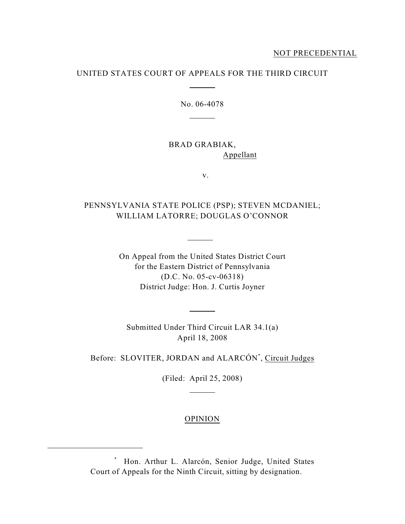# UNITED STATES COURT OF APPEALS FOR THE THIRD CIRCUIT

 $\overline{a}$ 

 $\overline{a}$ 

No. 06-4078

BRAD GRABIAK, Appellant

v.

# PENNSYLVANIA STATE POLICE (PSP); STEVEN MCDANIEL; WILLIAM LATORRE; DOUGLAS O'CONNOR

 $\overline{a}$ 

 $\overline{a}$ 

On Appeal from the United States District Court for the Eastern District of Pennsylvania (D.C. No. 05-cv-06318) District Judge: Hon. J. Curtis Joyner

Submitted Under Third Circuit LAR 34.1(a) April 18, 2008

Before: SLOVITER, JORDAN and ALARCÓN<sup>\*</sup>, Circuit Judges

(Filed: April 25, 2008)

 $\overline{a}$ 

# OPINION

Hon. Arthur L. Alarcón, Senior Judge, United States \* Court of Appeals for the Ninth Circuit, sitting by designation.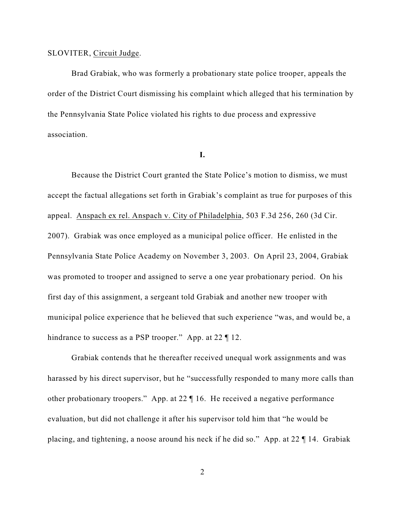## SLOVITER, Circuit Judge.

Brad Grabiak, who was formerly a probationary state police trooper, appeals the order of the District Court dismissing his complaint which alleged that his termination by the Pennsylvania State Police violated his rights to due process and expressive association.

#### **I.**

Because the District Court granted the State Police's motion to dismiss, we must accept the factual allegations set forth in Grabiak's complaint as true for purposes of this appeal. Anspach ex rel. Anspach v. City of Philadelphia, 503 F.3d 256, 260 (3d Cir. 2007). Grabiak was once employed as a municipal police officer. He enlisted in the Pennsylvania State Police Academy on November 3, 2003. On April 23, 2004, Grabiak was promoted to trooper and assigned to serve a one year probationary period. On his first day of this assignment, a sergeant told Grabiak and another new trooper with municipal police experience that he believed that such experience "was, and would be, a hindrance to success as a PSP trooper." App. at 22  $\P$  12.

Grabiak contends that he thereafter received unequal work assignments and was harassed by his direct supervisor, but he "successfully responded to many more calls than other probationary troopers." App. at 22 ¶ 16. He received a negative performance evaluation, but did not challenge it after his supervisor told him that "he would be placing, and tightening, a noose around his neck if he did so." App. at 22 ¶ 14. Grabiak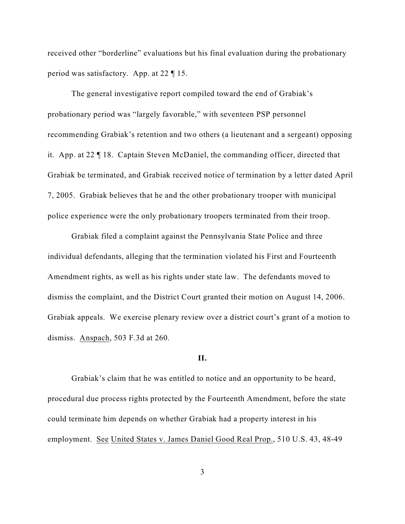received other "borderline" evaluations but his final evaluation during the probationary period was satisfactory. App. at 22 ¶ 15.

The general investigative report compiled toward the end of Grabiak's probationary period was "largely favorable," with seventeen PSP personnel recommending Grabiak's retention and two others (a lieutenant and a sergeant) opposing it. App. at 22 ¶ 18. Captain Steven McDaniel, the commanding officer, directed that Grabiak be terminated, and Grabiak received notice of termination by a letter dated April 7, 2005. Grabiak believes that he and the other probationary trooper with municipal police experience were the only probationary troopers terminated from their troop.

Grabiak filed a complaint against the Pennsylvania State Police and three individual defendants, alleging that the termination violated his First and Fourteenth Amendment rights, as well as his rights under state law. The defendants moved to dismiss the complaint, and the District Court granted their motion on August 14, 2006. Grabiak appeals. We exercise plenary review over a district court's grant of a motion to dismiss. Anspach, 503 F.3d at 260.

## **II.**

Grabiak's claim that he was entitled to notice and an opportunity to be heard, procedural due process rights protected by the Fourteenth Amendment, before the state could terminate him depends on whether Grabiak had a property interest in his employment. See United States v. James Daniel Good Real Prop., 510 U.S. 43, 48-49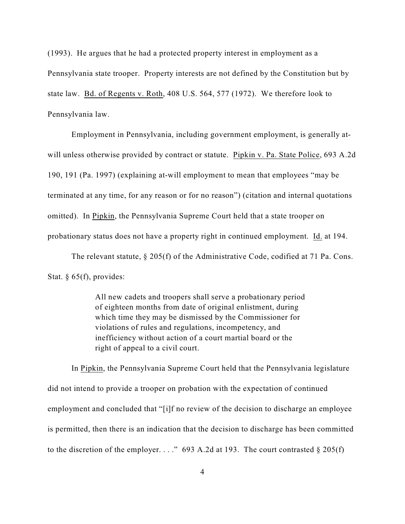(1993). He argues that he had a protected property interest in employment as a Pennsylvania state trooper. Property interests are not defined by the Constitution but by state law. Bd. of Regents v. Roth, 408 U.S. 564, 577 (1972). We therefore look to Pennsylvania law.

Employment in Pennsylvania, including government employment, is generally atwill unless otherwise provided by contract or statute. Pipkin v. Pa. State Police, 693 A.2d 190, 191 (Pa. 1997) (explaining at-will employment to mean that employees "may be terminated at any time, for any reason or for no reason") (citation and internal quotations omitted). In Pipkin, the Pennsylvania Supreme Court held that a state trooper on probationary status does not have a property right in continued employment. Id. at 194.

The relevant statute,  $\S 205(f)$  of the Administrative Code, codified at 71 Pa. Cons. Stat.  $§$  65(f), provides:

> All new cadets and troopers shall serve a probationary period of eighteen months from date of original enlistment, during which time they may be dismissed by the Commissioner for violations of rules and regulations, incompetency, and inefficiency without action of a court martial board or the right of appeal to a civil court.

In Pipkin, the Pennsylvania Supreme Court held that the Pennsylvania legislature did not intend to provide a trooper on probation with the expectation of continued employment and concluded that "[i]f no review of the decision to discharge an employee is permitted, then there is an indication that the decision to discharge has been committed to the discretion of the employer. . . ." 693 A.2d at 193. The court contrasted  $\S 205(f)$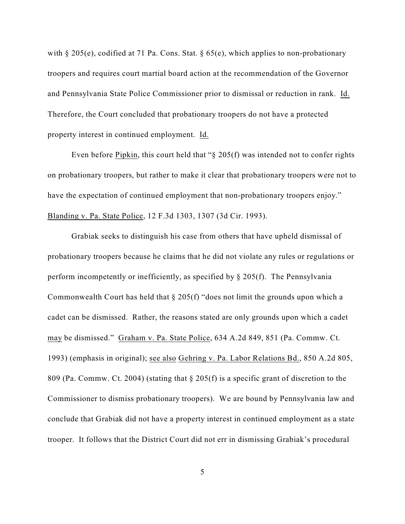with  $\S 205(e)$ , codified at 71 Pa. Cons. Stat.  $\S 65(e)$ , which applies to non-probationary troopers and requires court martial board action at the recommendation of the Governor and Pennsylvania State Police Commissioner prior to dismissal or reduction in rank. Id. Therefore, the Court concluded that probationary troopers do not have a protected property interest in continued employment. Id.

Even before Pipkin, this court held that "§ 205(f) was intended not to confer rights on probationary troopers, but rather to make it clear that probationary troopers were not to have the expectation of continued employment that non-probationary troopers enjoy." Blanding v. Pa. State Police, 12 F.3d 1303, 1307 (3d Cir. 1993).

Grabiak seeks to distinguish his case from others that have upheld dismissal of probationary troopers because he claims that he did not violate any rules or regulations or perform incompetently or inefficiently, as specified by § 205(f). The Pennsylvania Commonwealth Court has held that § 205(f) "does not limit the grounds upon which a cadet can be dismissed. Rather, the reasons stated are only grounds upon which a cadet may be dismissed." Graham v. Pa. State Police, 634 A.2d 849, 851 (Pa. Commw. Ct. 1993) (emphasis in original); see also Gehring v. Pa. Labor Relations Bd., 850 A.2d 805, 809 (Pa. Commw. Ct. 2004) (stating that § 205(f) is a specific grant of discretion to the Commissioner to dismiss probationary troopers). We are bound by Pennsylvania law and conclude that Grabiak did not have a property interest in continued employment as a state trooper. It follows that the District Court did not err in dismissing Grabiak's procedural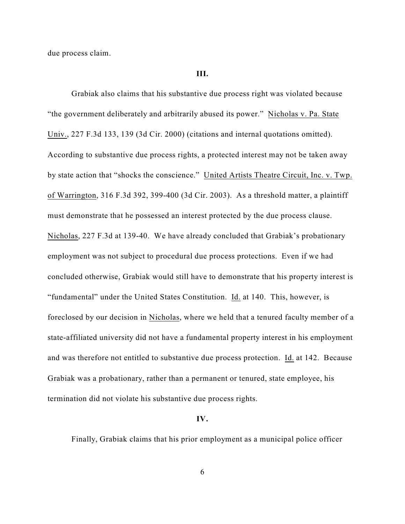due process claim.

#### **III.**

Grabiak also claims that his substantive due process right was violated because "the government deliberately and arbitrarily abused its power." Nicholas v. Pa. State Univ., 227 F.3d 133, 139 (3d Cir. 2000) (citations and internal quotations omitted). According to substantive due process rights, a protected interest may not be taken away by state action that "shocks the conscience." United Artists Theatre Circuit, Inc. v. Twp. of Warrington, 316 F.3d 392, 399-400 (3d Cir. 2003). As a threshold matter, a plaintiff must demonstrate that he possessed an interest protected by the due process clause. Nicholas, 227 F.3d at 139-40. We have already concluded that Grabiak's probationary employment was not subject to procedural due process protections. Even if we had concluded otherwise, Grabiak would still have to demonstrate that his property interest is "fundamental" under the United States Constitution. Id. at 140. This, however, is foreclosed by our decision in Nicholas, where we held that a tenured faculty member of a state-affiliated university did not have a fundamental property interest in his employment and was therefore not entitled to substantive due process protection. Id. at 142. Because Grabiak was a probationary, rather than a permanent or tenured, state employee, his termination did not violate his substantive due process rights.

#### **IV.**

Finally, Grabiak claims that his prior employment as a municipal police officer